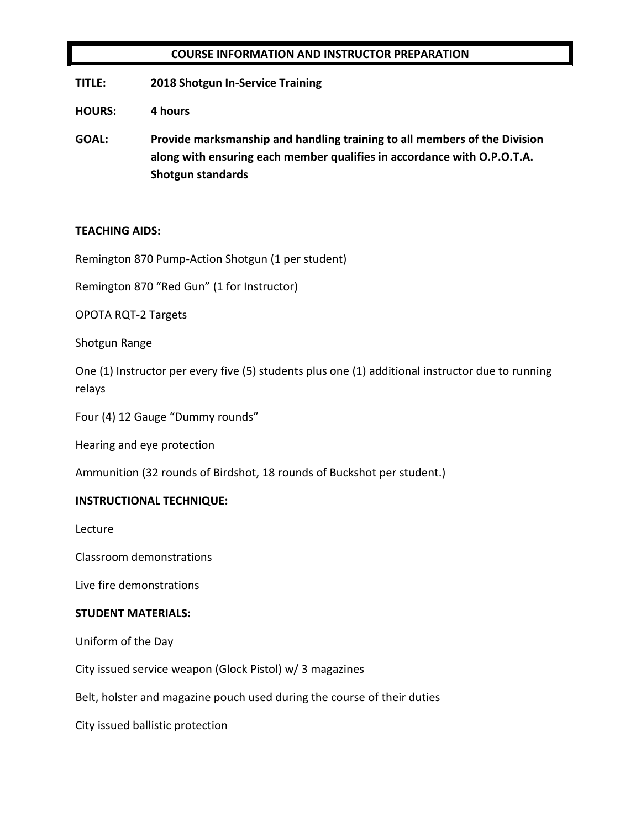## **COURSE INFORMATION AND INSTRUCTOR PREPARATION**

**TITLE: 2018 Shotgun In-Service Training**

**HOURS: 4 hours**

**GOAL: Provide marksmanship and handling training to all members of the Division along with ensuring each member qualifies in accordance with O.P.O.T.A. Shotgun standards**

#### **TEACHING AIDS:**

Remington 870 Pump-Action Shotgun (1 per student)

Remington 870 "Red Gun" (1 for Instructor)

OPOTA RQT-2 Targets

Shotgun Range

One (1) Instructor per every five (5) students plus one (1) additional instructor due to running relays

Four (4) 12 Gauge "Dummy rounds"

Hearing and eye protection

Ammunition (32 rounds of Birdshot, 18 rounds of Buckshot per student.)

#### **INSTRUCTIONAL TECHNIQUE:**

Lecture

Classroom demonstrations

Live fire demonstrations

#### **STUDENT MATERIALS:**

Uniform of the Day

City issued service weapon (Glock Pistol) w/ 3 magazines

Belt, holster and magazine pouch used during the course of their duties

City issued ballistic protection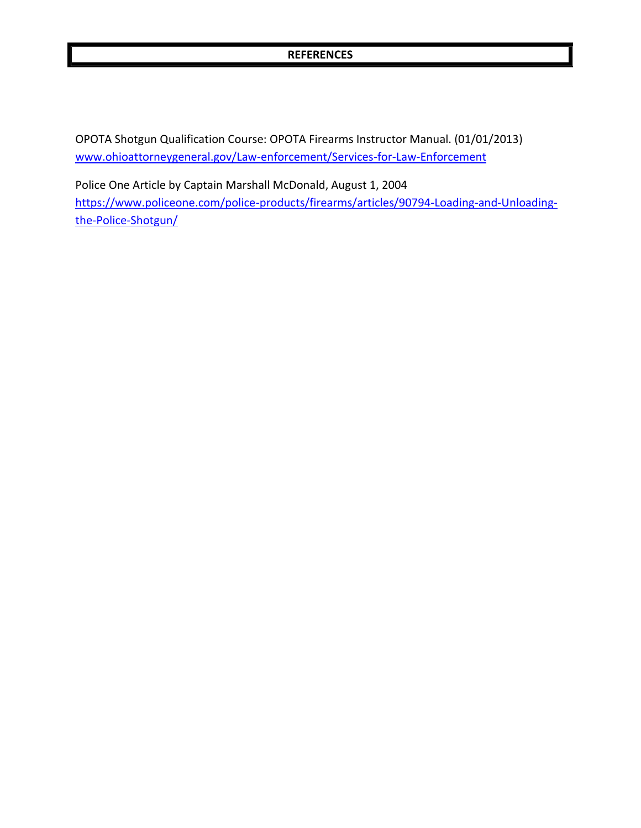#### **REFERENCES**

OPOTA Shotgun Qualification Course: OPOTA Firearms Instructor Manual. (01/01/2013) [www.ohioattorneygeneral.gov/Law-enforcement/Services-for-Law-Enforcement](http://www.ohioattorneygeneral.gov/Law-enforcement/Services-for-Law-Enforcement)

Police One Article by Captain Marshall McDonald, August 1, 2004 [https://www.policeone.com/police-products/firearms/articles/90794-Loading-and-Unloading](https://www.policeone.com/police-products/firearms/articles/90794-Loading-and-Unloading-the-Police-Shotgun/)[the-Police-Shotgun/](https://www.policeone.com/police-products/firearms/articles/90794-Loading-and-Unloading-the-Police-Shotgun/)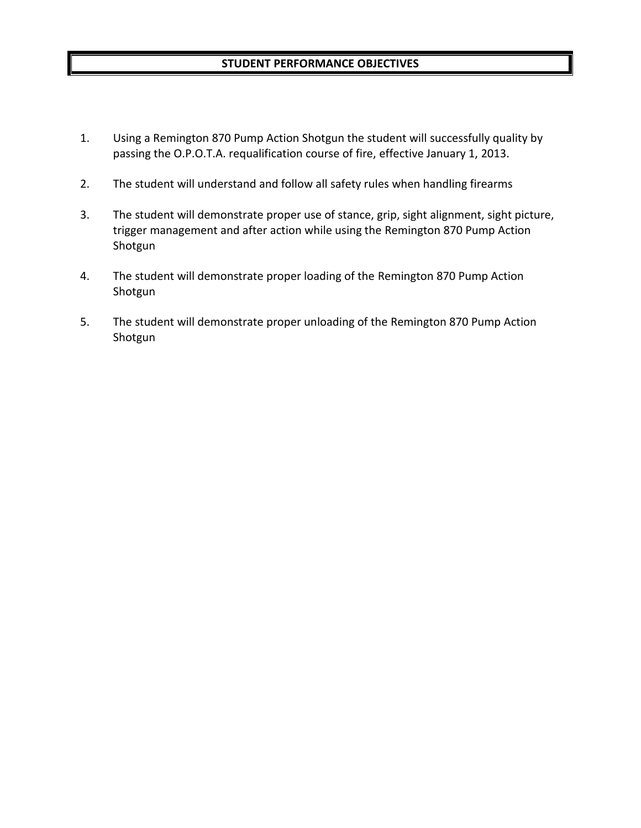## **STUDENT PERFORMANCE OBJECTIVES**

- 1. Using a Remington 870 Pump Action Shotgun the student will successfully quality by passing the O.P.O.T.A. requalification course of fire, effective January 1, 2013.
- 2. The student will understand and follow all safety rules when handling firearms
- 3. The student will demonstrate proper use of stance, grip, sight alignment, sight picture, trigger management and after action while using the Remington 870 Pump Action Shotgun
- 4. The student will demonstrate proper loading of the Remington 870 Pump Action Shotgun
- 5. The student will demonstrate proper unloading of the Remington 870 Pump Action Shotgun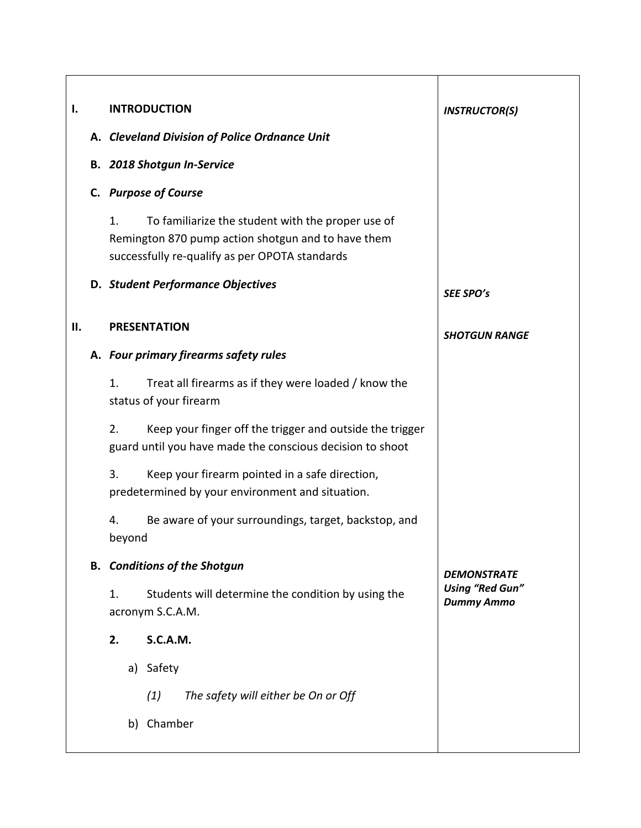| Ι.  | <b>INTRODUCTION</b>                                                                                                                                             | <b>INSTRUCTOR(S)</b>                        |
|-----|-----------------------------------------------------------------------------------------------------------------------------------------------------------------|---------------------------------------------|
|     | A. Cleveland Division of Police Ordnance Unit                                                                                                                   |                                             |
|     | <b>B. 2018 Shotgun In-Service</b>                                                                                                                               |                                             |
|     | C. Purpose of Course                                                                                                                                            |                                             |
|     | 1.<br>To familiarize the student with the proper use of<br>Remington 870 pump action shotgun and to have them<br>successfully re-qualify as per OPOTA standards |                                             |
|     | D. Student Performance Objectives                                                                                                                               | SEE SPO's                                   |
| II. | <b>PRESENTATION</b>                                                                                                                                             | <b>SHOTGUN RANGE</b>                        |
|     | A. Four primary firearms safety rules                                                                                                                           |                                             |
|     | 1.<br>Treat all firearms as if they were loaded / know the<br>status of your firearm                                                                            |                                             |
|     | 2.<br>Keep your finger off the trigger and outside the trigger<br>guard until you have made the conscious decision to shoot                                     |                                             |
|     | 3.<br>Keep your firearm pointed in a safe direction,<br>predetermined by your environment and situation.                                                        |                                             |
|     | Be aware of your surroundings, target, backstop, and<br>4.<br>beyond                                                                                            |                                             |
|     | <b>B.</b> Conditions of the Shotgun                                                                                                                             | <b>DEMONSTRATE</b>                          |
|     | Students will determine the condition by using the<br>1.<br>acronym S.C.A.M.                                                                                    | <b>Using "Red Gun"</b><br><b>Dummy Ammo</b> |
|     | <b>S.C.A.M.</b><br>2.                                                                                                                                           |                                             |
|     | a) Safety                                                                                                                                                       |                                             |
|     | The safety will either be On or Off<br>(1)                                                                                                                      |                                             |
|     | b) Chamber                                                                                                                                                      |                                             |
|     |                                                                                                                                                                 |                                             |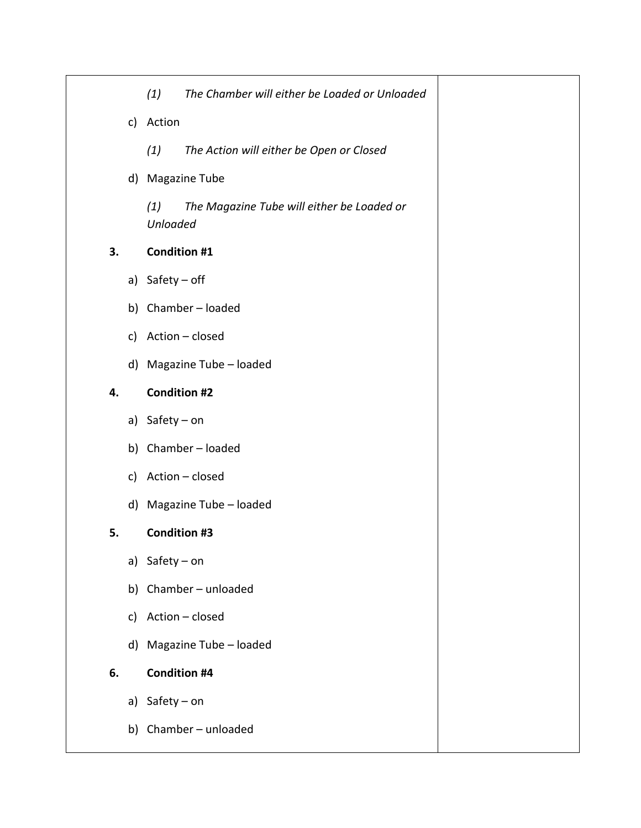|    |    | (1)                    | The Chamber will either be Loaded or Unloaded |
|----|----|------------------------|-----------------------------------------------|
|    |    | c) Action              |                                               |
|    |    | (1)                    | The Action will either be Open or Closed      |
|    |    |                        | d) Magazine Tube                              |
|    |    | (1)<br><b>Unloaded</b> | The Magazine Tube will either be Loaded or    |
| 3. |    | <b>Condition #1</b>    |                                               |
|    |    | a) Safety - off        |                                               |
|    |    |                        | b) Chamber-loaded                             |
|    | c) |                        | Action - closed                               |
|    |    |                        | d) Magazine Tube - loaded                     |
| 4. |    | <b>Condition #2</b>    |                                               |
|    |    | a) Safety - on         |                                               |
|    |    |                        | b) Chamber-loaded                             |
|    | c) |                        | Action - closed                               |
|    |    |                        | d) Magazine Tube - loaded                     |
| 5. |    | <b>Condition #3</b>    |                                               |
|    |    | a) Safety - on         |                                               |
|    |    |                        | b) Chamber-unloaded                           |
|    | C) |                        | Action - closed                               |
|    |    |                        | d) Magazine Tube - loaded                     |
| 6. |    | <b>Condition #4</b>    |                                               |
|    |    | a) Safety - on         |                                               |
|    |    |                        | b) Chamber-unloaded                           |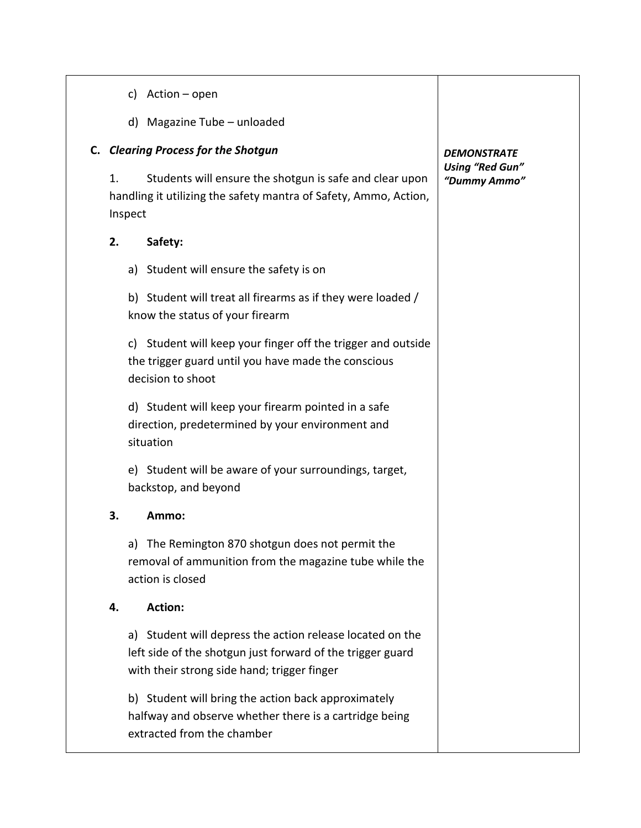- c) Action open
- d) Magazine Tube unloaded

# **C.** *Clearing Process for the Shotgun*

1. Students will ensure the shotgun is safe and clear upon handling it utilizing the safety mantra of Safety, Ammo, Action, Inspect

## **2. Safety:**

a) Student will ensure the safety is on

b) Student will treat all firearms as if they were loaded / know the status of your firearm

c) Student will keep your finger off the trigger and outside the trigger guard until you have made the conscious decision to shoot

d) Student will keep your firearm pointed in a safe direction, predetermined by your environment and situation

e) Student will be aware of your surroundings, target, backstop, and beyond

### **3. Ammo:**

a) The Remington 870 shotgun does not permit the removal of ammunition from the magazine tube while the action is closed

### **4. Action:**

a) Student will depress the action release located on the left side of the shotgun just forward of the trigger guard with their strong side hand; trigger finger

b) Student will bring the action back approximately halfway and observe whether there is a cartridge being extracted from the chamber

## *DEMONSTRATE Using "Red Gun" "Dummy Ammo"*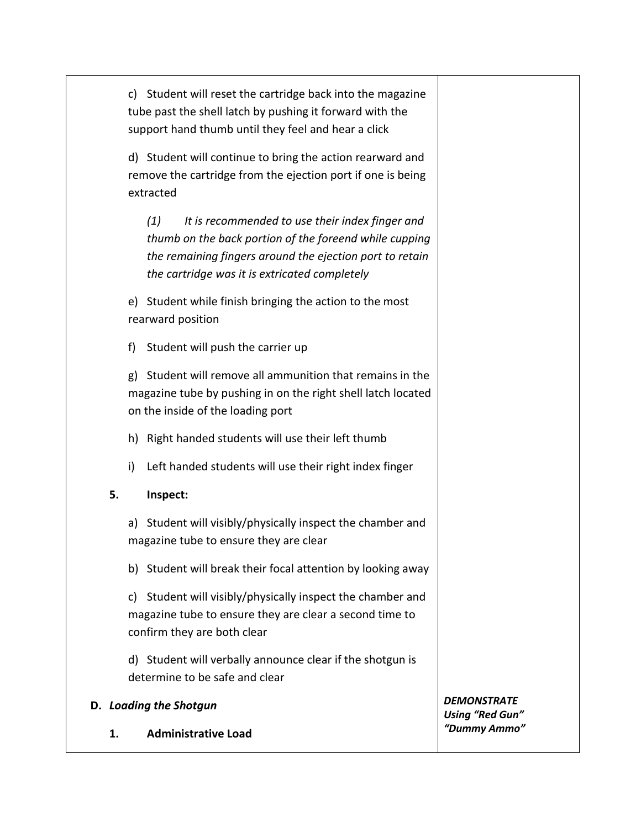c) Student will reset the cartridge back into the magazine tube past the shell latch by pushing it forward with the support hand thumb until they feel and hear a click

d) Student will continue to bring the action rearward and remove the cartridge from the ejection port if one is being extracted

*(1) It is recommended to use their index finger and thumb on the back portion of the foreend while cupping the remaining fingers around the ejection port to retain the cartridge was it is extricated completely*

e) Student while finish bringing the action to the most rearward position

f) Student will push the carrier up

g) Student will remove all ammunition that remains in the magazine tube by pushing in on the right shell latch located on the inside of the loading port

- h) Right handed students will use their left thumb
- i) Left handed students will use their right index finger

# **5. Inspect:**

a) Student will visibly/physically inspect the chamber and magazine tube to ensure they are clear

b) Student will break their focal attention by looking away

c) Student will visibly/physically inspect the chamber and magazine tube to ensure they are clear a second time to confirm they are both clear

d) Student will verbally announce clear if the shotgun is determine to be safe and clear

# **D.** *Loading the Shotgun*

**1. Administrative Load**

*DEMONSTRATE Using "Red Gun" "Dummy Ammo"*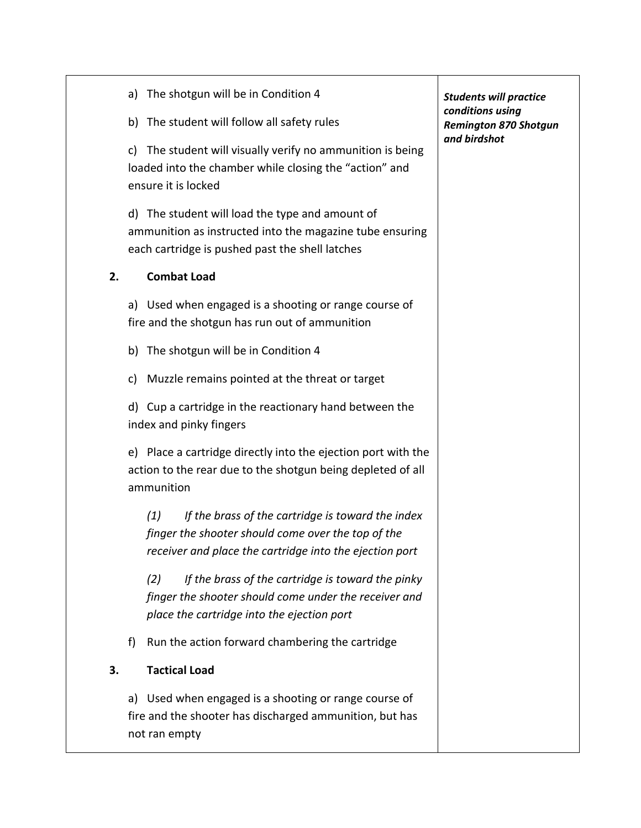|    | The shotgun will be in Condition 4<br>a)                                                                                                                                  | <b>Students will practice</b>                                    |
|----|---------------------------------------------------------------------------------------------------------------------------------------------------------------------------|------------------------------------------------------------------|
|    | b) The student will follow all safety rules                                                                                                                               | conditions using<br><b>Remington 870 Shotgun</b><br>and birdshot |
|    | The student will visually verify no ammunition is being<br>C)<br>loaded into the chamber while closing the "action" and<br>ensure it is locked                            |                                                                  |
|    | d) The student will load the type and amount of<br>ammunition as instructed into the magazine tube ensuring<br>each cartridge is pushed past the shell latches            |                                                                  |
| 2. | <b>Combat Load</b>                                                                                                                                                        |                                                                  |
|    | a) Used when engaged is a shooting or range course of<br>fire and the shotgun has run out of ammunition                                                                   |                                                                  |
|    | The shotgun will be in Condition 4<br>b)                                                                                                                                  |                                                                  |
|    | Muzzle remains pointed at the threat or target<br>C)                                                                                                                      |                                                                  |
|    | d) Cup a cartridge in the reactionary hand between the<br>index and pinky fingers                                                                                         |                                                                  |
|    | e) Place a cartridge directly into the ejection port with the<br>action to the rear due to the shotgun being depleted of all<br>ammunition                                |                                                                  |
|    | (1)<br>If the brass of the cartridge is toward the index<br>finger the shooter should come over the top of the<br>receiver and place the cartridge into the ejection port |                                                                  |
|    | (2)<br>If the brass of the cartridge is toward the pinky<br>finger the shooter should come under the receiver and<br>place the cartridge into the ejection port           |                                                                  |
|    | Run the action forward chambering the cartridge<br>f)                                                                                                                     |                                                                  |
| 3. | <b>Tactical Load</b>                                                                                                                                                      |                                                                  |
|    | a) Used when engaged is a shooting or range course of<br>fire and the shooter has discharged ammunition, but has<br>not ran empty                                         |                                                                  |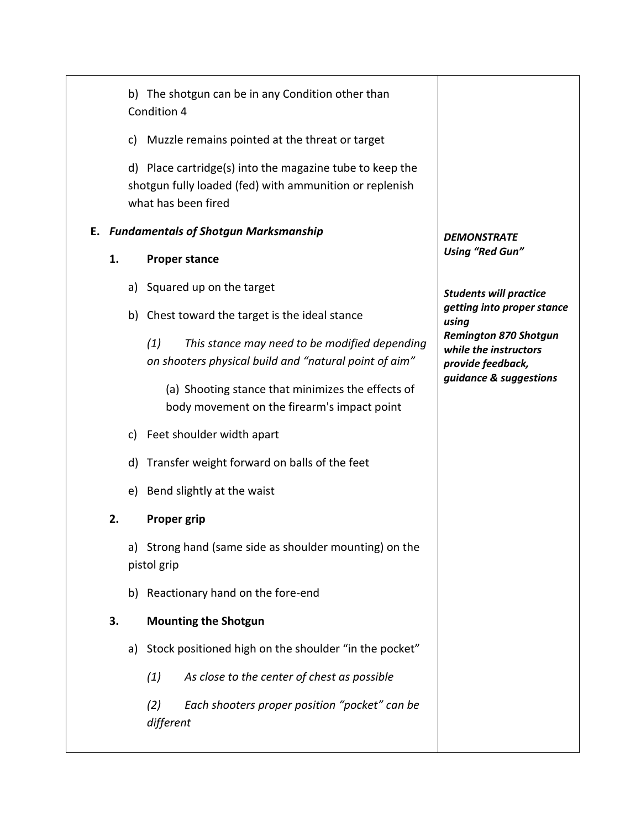|    | b) The shotgun can be in any Condition other than<br>Condition 4                                                                           |                                                       |
|----|--------------------------------------------------------------------------------------------------------------------------------------------|-------------------------------------------------------|
|    | c) Muzzle remains pointed at the threat or target                                                                                          |                                                       |
|    | d) Place cartridge(s) into the magazine tube to keep the<br>shotgun fully loaded (fed) with ammunition or replenish<br>what has been fired |                                                       |
|    | E. Fundamentals of Shotgun Marksmanship                                                                                                    | <b>DEMONSTRATE</b>                                    |
| 1. | <b>Proper stance</b>                                                                                                                       | <b>Using "Red Gun"</b>                                |
|    | a) Squared up on the target                                                                                                                | <b>Students will practice</b>                         |
|    | b) Chest toward the target is the ideal stance                                                                                             | getting into proper stance<br>using                   |
|    | (1)<br>This stance may need to be modified depending                                                                                       | <b>Remington 870 Shotgun</b><br>while the instructors |
|    | on shooters physical build and "natural point of aim"                                                                                      | provide feedback,<br>guidance & suggestions           |
|    | (a) Shooting stance that minimizes the effects of<br>body movement on the firearm's impact point                                           |                                                       |
|    | c) Feet shoulder width apart                                                                                                               |                                                       |
|    | d) Transfer weight forward on balls of the feet                                                                                            |                                                       |
|    | e) Bend slightly at the waist                                                                                                              |                                                       |
| 2. | <b>Proper grip</b>                                                                                                                         |                                                       |
|    | a) Strong hand (same side as shoulder mounting) on the<br>pistol grip                                                                      |                                                       |
|    | b) Reactionary hand on the fore-end                                                                                                        |                                                       |
| 3. | <b>Mounting the Shotgun</b>                                                                                                                |                                                       |
|    | a) Stock positioned high on the shoulder "in the pocket"                                                                                   |                                                       |
|    | As close to the center of chest as possible<br>(1)                                                                                         |                                                       |
|    | Each shooters proper position "pocket" can be<br>(2)<br>different                                                                          |                                                       |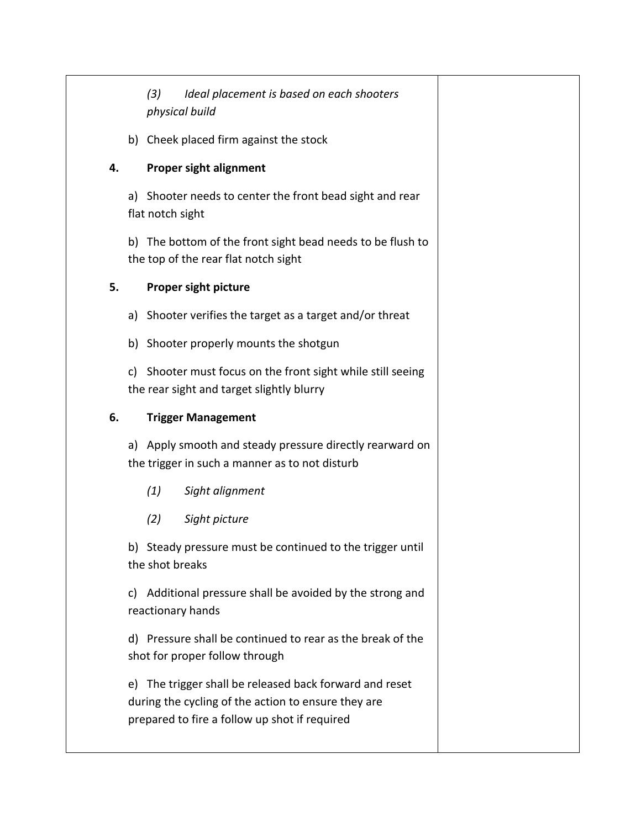*(3) Ideal placement is based on each shooters physical build* 

b) Cheek placed firm against the stock

## **4. Proper sight alignment**

a) Shooter needs to center the front bead sight and rear flat notch sight

b) The bottom of the front sight bead needs to be flush to the top of the rear flat notch sight

## **5. Proper sight picture**

a) Shooter verifies the target as a target and/or threat

b) Shooter properly mounts the shotgun

c) Shooter must focus on the front sight while still seeing the rear sight and target slightly blurry

# **6. Trigger Management**

a) Apply smooth and steady pressure directly rearward on the trigger in such a manner as to not disturb

- *(1) Sight alignment*
- *(2) Sight picture*

b) Steady pressure must be continued to the trigger until the shot breaks

c) Additional pressure shall be avoided by the strong and reactionary hands

d) Pressure shall be continued to rear as the break of the shot for proper follow through

e) The trigger shall be released back forward and reset during the cycling of the action to ensure they are prepared to fire a follow up shot if required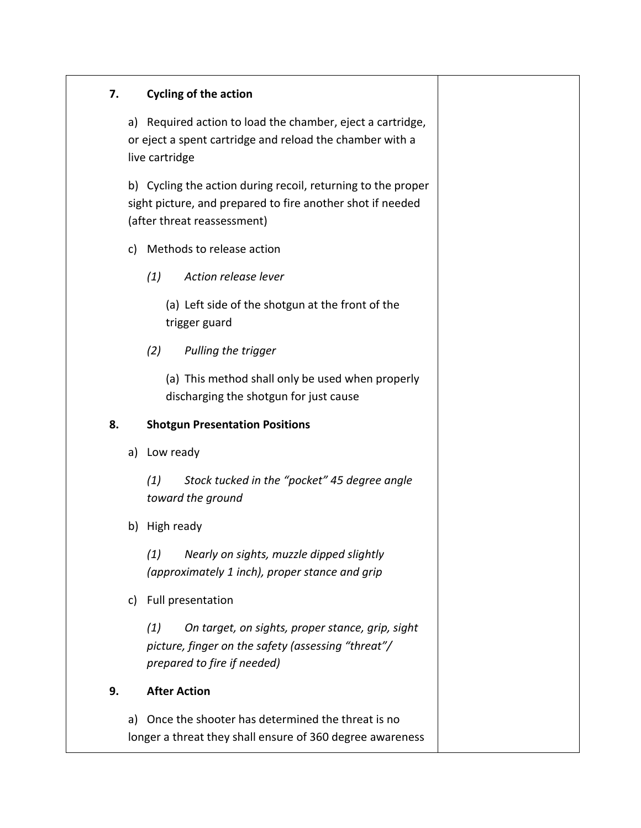# **7. Cycling of the action**

a) Required action to load the chamber, eject a cartridge, or eject a spent cartridge and reload the chamber with a live cartridge

b) Cycling the action during recoil, returning to the proper sight picture, and prepared to fire another shot if needed (after threat reassessment)

- c) Methods to release action
	- *(1) Action release lever*

(a) Left side of the shotgun at the front of the trigger guard

*(2) Pulling the trigger*

(a) This method shall only be used when properly discharging the shotgun for just cause

# **8. Shotgun Presentation Positions**

a) Low ready

*(1) Stock tucked in the "pocket" 45 degree angle toward the ground* 

b) High ready

*(1) Nearly on sights, muzzle dipped slightly (approximately 1 inch), proper stance and grip*

c) Full presentation

*(1) On target, on sights, proper stance, grip, sight picture, finger on the safety (assessing "threat"/ prepared to fire if needed)*

# **9. After Action**

a) Once the shooter has determined the threat is no longer a threat they shall ensure of 360 degree awareness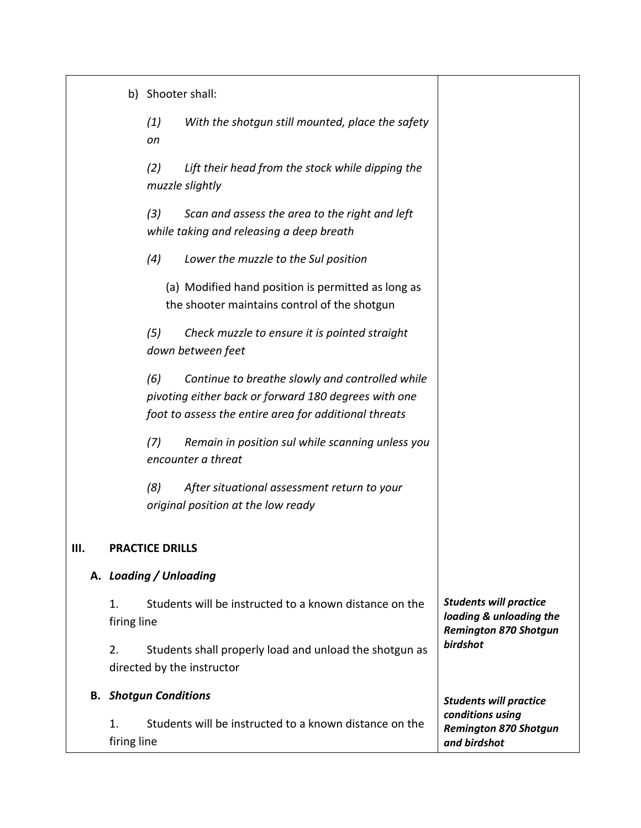|                   | b) Shooter shall:                                                                                                                                                       |                                                                                          |
|-------------------|-------------------------------------------------------------------------------------------------------------------------------------------------------------------------|------------------------------------------------------------------------------------------|
|                   | (1)<br>With the shotgun still mounted, place the safety<br>on                                                                                                           |                                                                                          |
|                   | (2)<br>Lift their head from the stock while dipping the<br>muzzle slightly                                                                                              |                                                                                          |
|                   | (3)<br>Scan and assess the area to the right and left<br>while taking and releasing a deep breath                                                                       |                                                                                          |
|                   | (4)<br>Lower the muzzle to the Sul position                                                                                                                             |                                                                                          |
|                   | (a) Modified hand position is permitted as long as<br>the shooter maintains control of the shotgun                                                                      |                                                                                          |
|                   | (5)<br>Check muzzle to ensure it is pointed straight<br>down between feet                                                                                               |                                                                                          |
|                   | (6)<br>Continue to breathe slowly and controlled while<br>pivoting either back or forward 180 degrees with one<br>foot to assess the entire area for additional threats |                                                                                          |
|                   | (7)<br>Remain in position sul while scanning unless you<br>encounter a threat                                                                                           |                                                                                          |
|                   | (8)<br>After situational assessment return to your<br>original position at the low ready                                                                                |                                                                                          |
|                   | <b>PRACTICE DRILLS</b>                                                                                                                                                  |                                                                                          |
|                   | A. Loading / Unloading                                                                                                                                                  |                                                                                          |
| 1.<br>firing line | Students will be instructed to a known distance on the                                                                                                                  | <b>Students will practice</b><br>loading & unloading the<br><b>Remington 870 Shotgun</b> |
| 2.                | Students shall properly load and unload the shotgun as<br>directed by the instructor                                                                                    | birdshot                                                                                 |
|                   | <b>B.</b> Shotgun Conditions                                                                                                                                            | <b>Students will practice</b>                                                            |
| 1.<br>firing line | Students will be instructed to a known distance on the                                                                                                                  | conditions using<br><b>Remington 870 Shotgun</b><br>and birdshot                         |

*III.*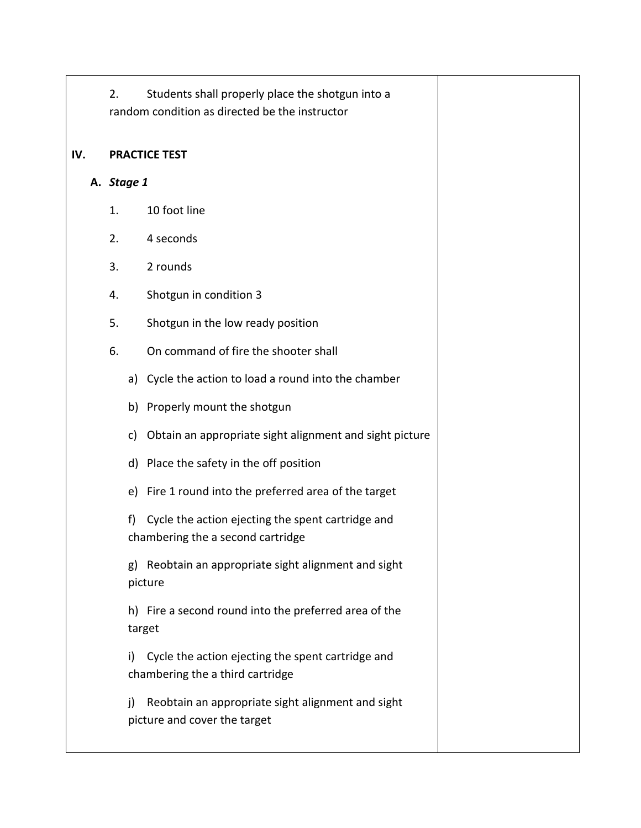2. Students shall properly place the shotgun into a random condition as directed be the instructor

#### **IV. PRACTICE TEST**

- **A.** *Stage 1*
	- 1. 10 foot line
	- 2. 4 seconds
	- 3. 2 rounds
	- 4. Shotgun in condition 3
	- 5. Shotgun in the low ready position
	- 6. On command of fire the shooter shall
		- a) Cycle the action to load a round into the chamber
		- b) Properly mount the shotgun
		- c) Obtain an appropriate sight alignment and sight picture
		- d) Place the safety in the off position
		- e) Fire 1 round into the preferred area of the target

f) Cycle the action ejecting the spent cartridge and chambering the a second cartridge

g) Reobtain an appropriate sight alignment and sight picture

h) Fire a second round into the preferred area of the target

i) Cycle the action ejecting the spent cartridge and chambering the a third cartridge

j) Reobtain an appropriate sight alignment and sight picture and cover the target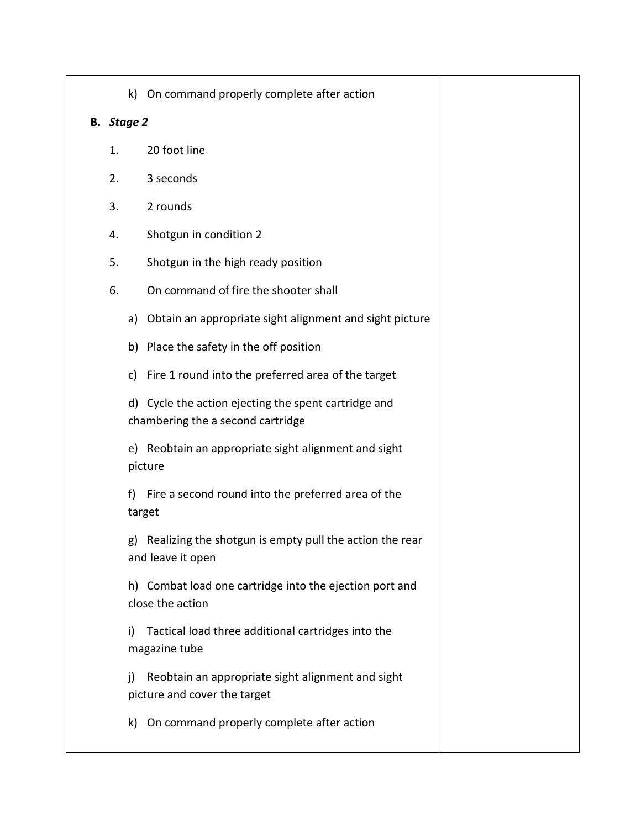|  |  | k) On command properly complete after action |  |
|--|--|----------------------------------------------|--|
|--|--|----------------------------------------------|--|

#### **B.** *Stage 2*

- 1. 20 foot line
- 2. 3 seconds
- 3. 2 rounds
- 4. Shotgun in condition 2
- 5. Shotgun in the high ready position
- 6. On command of fire the shooter shall
	- a) Obtain an appropriate sight alignment and sight picture
	- b) Place the safety in the off position
	- c) Fire 1 round into the preferred area of the target

d) Cycle the action ejecting the spent cartridge and chambering the a second cartridge

e) Reobtain an appropriate sight alignment and sight picture

f) Fire a second round into the preferred area of the target

g) Realizing the shotgun is empty pull the action the rear and leave it open

h) Combat load one cartridge into the ejection port and close the action

i) Tactical load three additional cartridges into the magazine tube

j) Reobtain an appropriate sight alignment and sight picture and cover the target

k) On command properly complete after action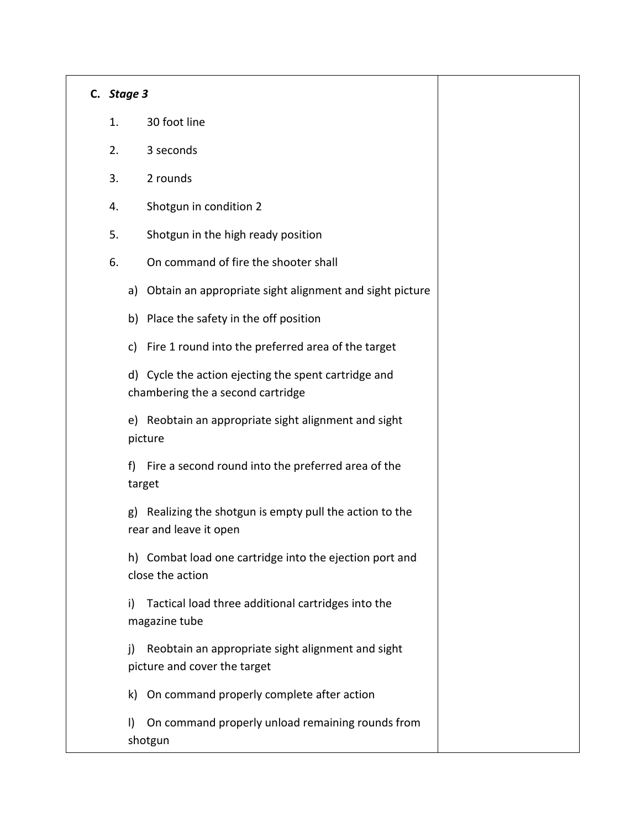#### **C.** *Stage 3*

- 1. 30 foot line
- 2. 3 seconds
- 3. 2 rounds
- 4. Shotgun in condition 2
- 5. Shotgun in the high ready position
- 6. On command of fire the shooter shall
	- a) Obtain an appropriate sight alignment and sight picture
	- b) Place the safety in the off position
	- c) Fire 1 round into the preferred area of the target

d) Cycle the action ejecting the spent cartridge and chambering the a second cartridge

e) Reobtain an appropriate sight alignment and sight picture

f) Fire a second round into the preferred area of the target

g) Realizing the shotgun is empty pull the action to the rear and leave it open

h) Combat load one cartridge into the ejection port and close the action

i) Tactical load three additional cartridges into the magazine tube

j) Reobtain an appropriate sight alignment and sight picture and cover the target

k) On command properly complete after action

l) On command properly unload remaining rounds from shotgun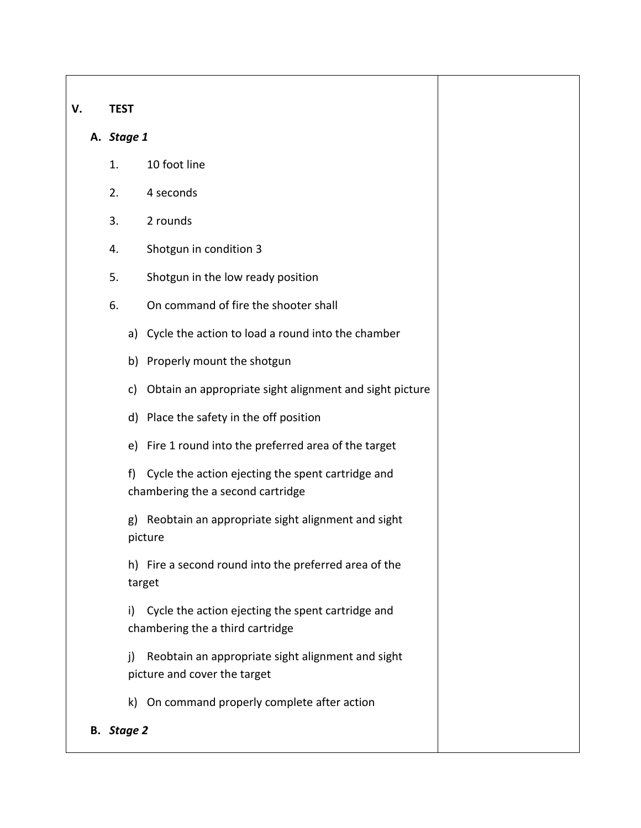## **V. TEST**

## **A.** *Stage 1*

- 1. 10 foot line
- 2. 4 seconds
- 3. 2 rounds
- 4. Shotgun in condition 3
- 5. Shotgun in the low ready position
- 6. On command of fire the shooter shall
	- a) Cycle the action to load a round into the chamber
	- b) Properly mount the shotgun
	- c) Obtain an appropriate sight alignment and sight picture
	- d) Place the safety in the off position
	- e) Fire 1 round into the preferred area of the target
	- f) Cycle the action ejecting the spent cartridge and chambering the a second cartridge
	- g) Reobtain an appropriate sight alignment and sight picture

h) Fire a second round into the preferred area of the target

i) Cycle the action ejecting the spent cartridge and chambering the a third cartridge

j) Reobtain an appropriate sight alignment and sight picture and cover the target

k) On command properly complete after action

# **B.** *Stage 2*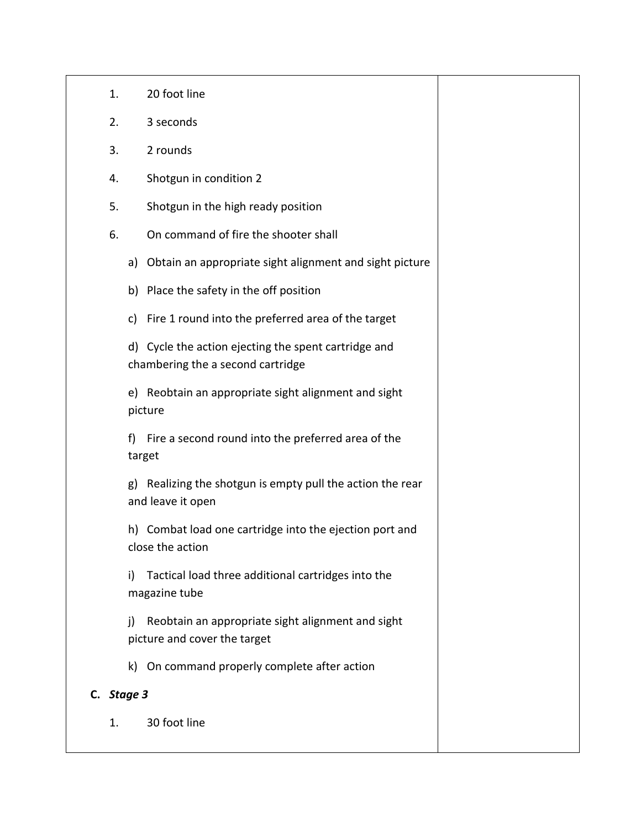- 1. 20 foot line
- 2. 3 seconds
- 3. 2 rounds
- 4. Shotgun in condition 2
- 5. Shotgun in the high ready position
- 6. On command of fire the shooter shall
	- a) Obtain an appropriate sight alignment and sight picture
	- b) Place the safety in the off position
	- c) Fire 1 round into the preferred area of the target

d) Cycle the action ejecting the spent cartridge and chambering the a second cartridge

e) Reobtain an appropriate sight alignment and sight picture

f) Fire a second round into the preferred area of the target

g) Realizing the shotgun is empty pull the action the rear and leave it open

h) Combat load one cartridge into the ejection port and close the action

i) Tactical load three additional cartridges into the magazine tube

j) Reobtain an appropriate sight alignment and sight picture and cover the target

k) On command properly complete after action

# **C.** *Stage 3*

1. 30 foot line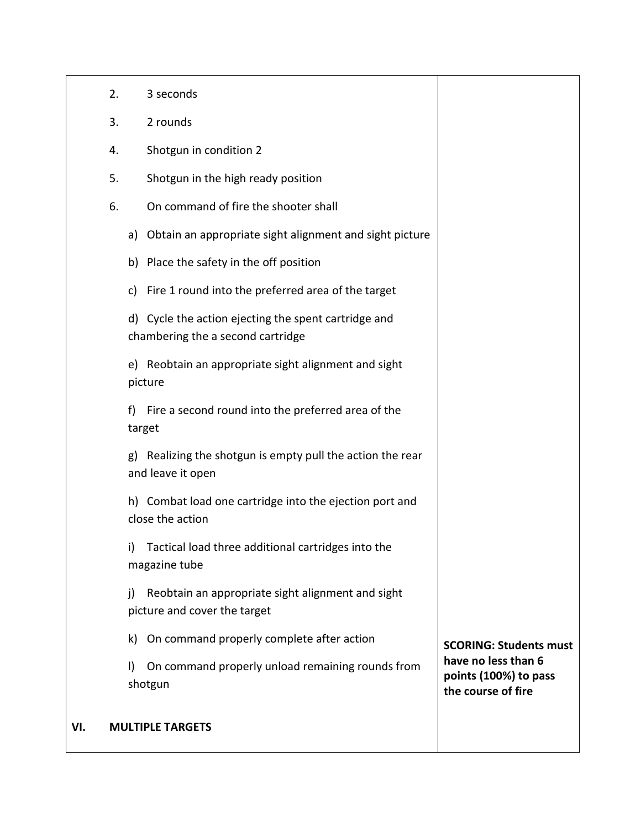|    | <b>MULTIPLE TARGETS</b>                                                                   |                                                                    |
|----|-------------------------------------------------------------------------------------------|--------------------------------------------------------------------|
|    | On command properly unload remaining rounds from<br>$\vert$<br>shotgun                    | have no less than 6<br>points (100%) to pass<br>the course of fire |
|    | On command properly complete after action<br>k)                                           | <b>SCORING: Students must</b>                                      |
|    | Reobtain an appropriate sight alignment and sight<br>j)<br>picture and cover the target   |                                                                    |
|    | Tactical load three additional cartridges into the<br>i)<br>magazine tube                 |                                                                    |
|    | h) Combat load one cartridge into the ejection port and<br>close the action               |                                                                    |
|    | Realizing the shotgun is empty pull the action the rear<br>g)<br>and leave it open        |                                                                    |
|    | Fire a second round into the preferred area of the<br>f)<br>target                        |                                                                    |
|    | e) Reobtain an appropriate sight alignment and sight<br>picture                           |                                                                    |
|    | d) Cycle the action ejecting the spent cartridge and<br>chambering the a second cartridge |                                                                    |
|    | Fire 1 round into the preferred area of the target<br>c)                                  |                                                                    |
|    | b) Place the safety in the off position                                                   |                                                                    |
|    | Obtain an appropriate sight alignment and sight picture<br>a)                             |                                                                    |
| 6. | On command of fire the shooter shall                                                      |                                                                    |
| 5. | Shotgun in the high ready position                                                        |                                                                    |
| 4. | Shotgun in condition 2                                                                    |                                                                    |
| 3. | 2 rounds                                                                                  |                                                                    |
| 2. | 3 seconds                                                                                 |                                                                    |

### **VI. MULTIPLE TARGETS**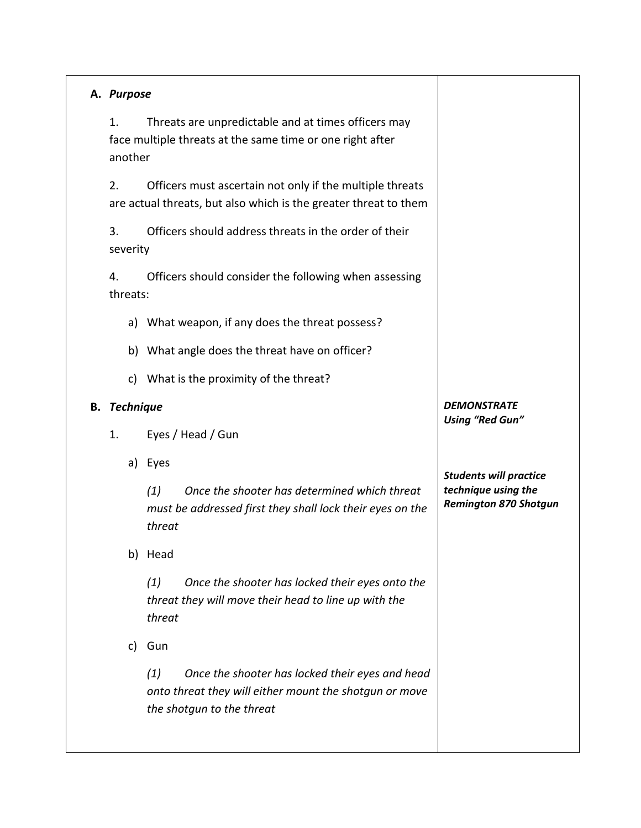| A. Purpose          |                                                                                                                                               |                                                                                      |
|---------------------|-----------------------------------------------------------------------------------------------------------------------------------------------|--------------------------------------------------------------------------------------|
| 1.<br>another       | Threats are unpredictable and at times officers may<br>face multiple threats at the same time or one right after                              |                                                                                      |
| 2.                  | Officers must ascertain not only if the multiple threats<br>are actual threats, but also which is the greater threat to them                  |                                                                                      |
| 3.<br>severity      | Officers should address threats in the order of their                                                                                         |                                                                                      |
| 4.<br>threats:      | Officers should consider the following when assessing                                                                                         |                                                                                      |
| a)                  | What weapon, if any does the threat possess?                                                                                                  |                                                                                      |
|                     | b) What angle does the threat have on officer?                                                                                                |                                                                                      |
| c)                  | What is the proximity of the threat?                                                                                                          |                                                                                      |
| <b>B.</b> Technique |                                                                                                                                               | <b>DEMONSTRATE</b>                                                                   |
| 1.                  | Eyes / Head / Gun                                                                                                                             | <b>Using "Red Gun"</b>                                                               |
|                     | a) Eyes                                                                                                                                       |                                                                                      |
|                     | Once the shooter has determined which threat<br>(1)<br>must be addressed first they shall lock their eyes on the<br>threat                    | <b>Students will practice</b><br>technique using the<br><b>Remington 870 Shotgun</b> |
|                     | b) Head                                                                                                                                       |                                                                                      |
|                     | (1)<br>Once the shooter has locked their eyes onto the<br>threat they will move their head to line up with the<br>threat                      |                                                                                      |
| c)                  | Gun                                                                                                                                           |                                                                                      |
|                     | (1)<br>Once the shooter has locked their eyes and head<br>onto threat they will either mount the shotgun or move<br>the shotgun to the threat |                                                                                      |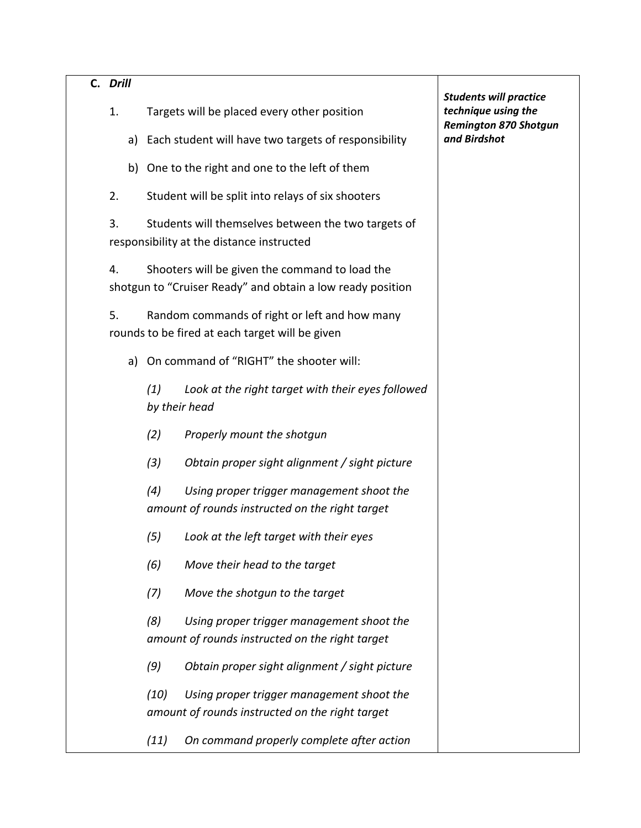| C. Drill |                                                                                                              | <b>Students will practice</b>                       |
|----------|--------------------------------------------------------------------------------------------------------------|-----------------------------------------------------|
| 1.       | Targets will be placed every other position                                                                  | technique using the<br><b>Remington 870 Shotgun</b> |
| a)       | Each student will have two targets of responsibility                                                         | and Birdshot                                        |
|          | b) One to the right and one to the left of them                                                              |                                                     |
| 2.       | Student will be split into relays of six shooters                                                            |                                                     |
| 3.       | Students will themselves between the two targets of<br>responsibility at the distance instructed             |                                                     |
| 4.       | Shooters will be given the command to load the<br>shotgun to "Cruiser Ready" and obtain a low ready position |                                                     |
| 5.       | Random commands of right or left and how many<br>rounds to be fired at each target will be given             |                                                     |
| a)       | On command of "RIGHT" the shooter will:                                                                      |                                                     |
|          | Look at the right target with their eyes followed<br>(1)<br>by their head                                    |                                                     |
|          | (2)<br>Properly mount the shotgun                                                                            |                                                     |
|          | (3)<br>Obtain proper sight alignment / sight picture                                                         |                                                     |
|          | (4)<br>Using proper trigger management shoot the<br>amount of rounds instructed on the right target          |                                                     |
|          | (5)<br>Look at the left target with their eyes                                                               |                                                     |
|          | (6)<br>Move their head to the target                                                                         |                                                     |
|          | (7)<br>Move the shotgun to the target                                                                        |                                                     |
|          | (8)<br>Using proper trigger management shoot the<br>amount of rounds instructed on the right target          |                                                     |
|          | (9)<br>Obtain proper sight alignment / sight picture                                                         |                                                     |
|          | (10)<br>Using proper trigger management shoot the<br>amount of rounds instructed on the right target         |                                                     |
|          | On command properly complete after action<br>(11)                                                            |                                                     |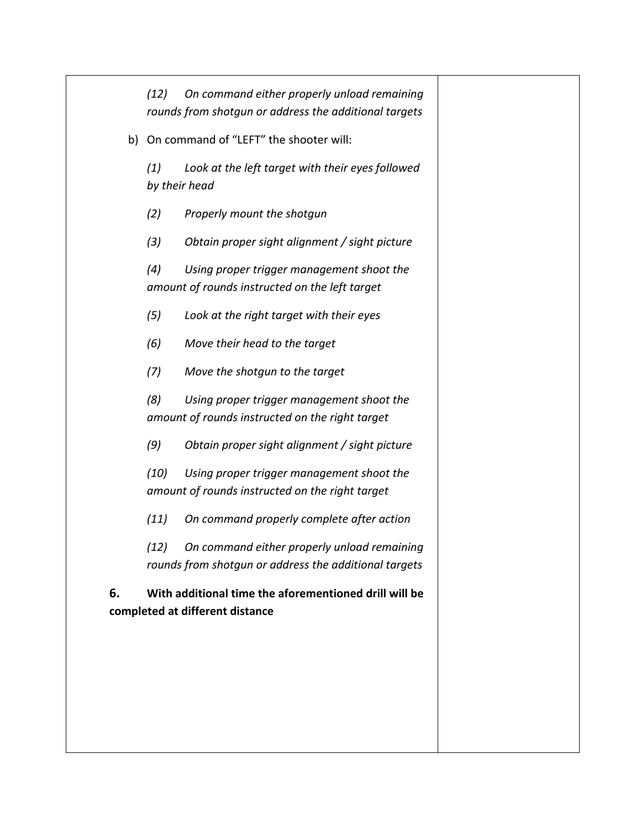*(12) On command either properly unload remaining rounds from shotgun or address the additional targets*

b) On command of "LEFT" the shooter will:

*(1) Look at the left target with their eyes followed by their head*

*(2) Properly mount the shotgun*

*(3) Obtain proper sight alignment / sight picture*

*(4) Using proper trigger management shoot the amount of rounds instructed on the left target*

*(5) Look at the right target with their eyes*

*(6) Move their head to the target*

*(7) Move the shotgun to the target*

*(8) Using proper trigger management shoot the amount of rounds instructed on the right target*

*(9) Obtain proper sight alignment / sight picture*

*(10) Using proper trigger management shoot the amount of rounds instructed on the right target*

*(11) On command properly complete after action* 

*(12) On command either properly unload remaining rounds from shotgun or address the additional targets*

**6. With additional time the aforementioned drill will be completed at different distance**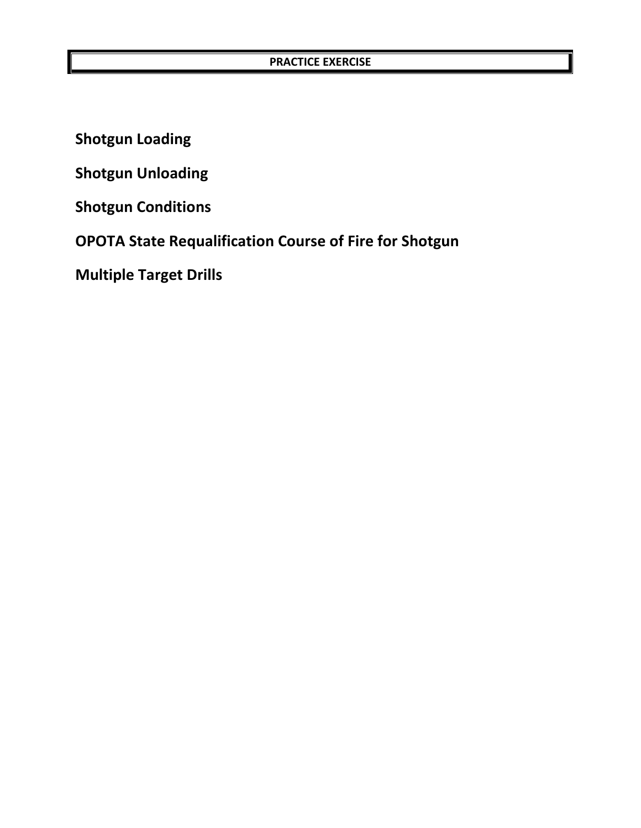**Shotgun Loading**

**Shotgun Unloading** 

**Shotgun Conditions**

**OPOTA State Requalification Course of Fire for Shotgun**

**Multiple Target Drills**